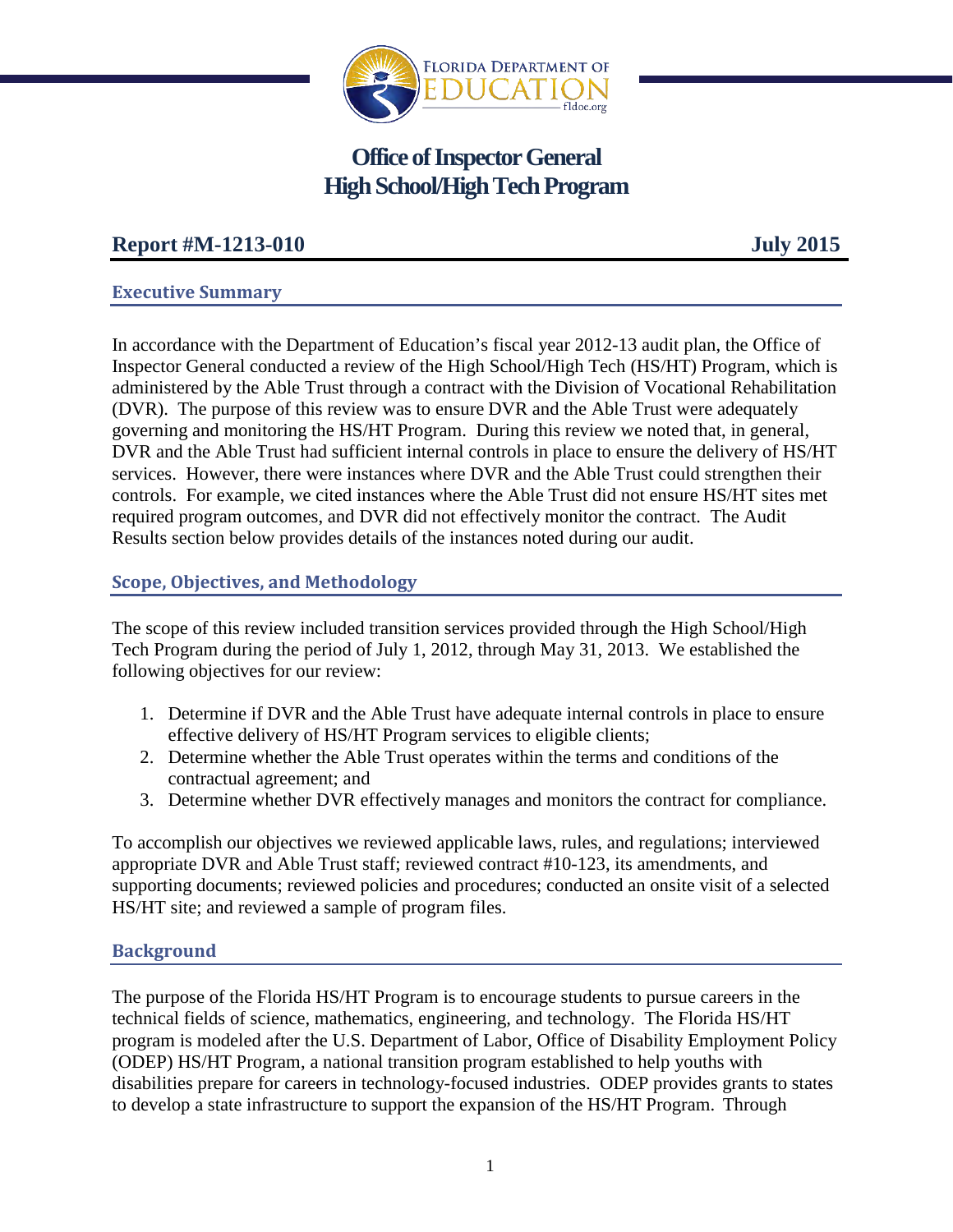

# **Office of Inspector General High School/High Tech Program**

# **Report #M-1213-010 July 2015**

# **Executive Summary**

In accordance with the Department of Education's fiscal year 2012-13 audit plan, the Office of Inspector General conducted a review of the High School/High Tech (HS/HT) Program, which is administered by the Able Trust through a contract with the Division of Vocational Rehabilitation (DVR). The purpose of this review was to ensure DVR and the Able Trust were adequately governing and monitoring the HS/HT Program. During this review we noted that, in general, DVR and the Able Trust had sufficient internal controls in place to ensure the delivery of HS/HT services.However, there were instances where DVR and the Able Trust could strengthen their controls. For example, we cited instances where the Able Trust did not ensure HS/HT sites met required program outcomes, and DVR did not effectively monitor the contract. The Audit Results section below provides details of the instances noted during our audit.

# **Scope, Objectives, and Methodology**

The scope of this review included transition services provided through the High School/High Tech Program during the period of July 1, 2012, through May 31, 2013. We established the following objectives for our review:

- 1. Determine if DVR and the Able Trust have adequate internal controls in place to ensure effective delivery of HS/HT Program services to eligible clients;
- 2. Determine whether the Able Trust operates within the terms and conditions of the contractual agreement; and
- 3. Determine whether DVR effectively manages and monitors the contract for compliance.

To accomplish our objectives we reviewed applicable laws, rules, and regulations; interviewed appropriate DVR and Able Trust staff; reviewed contract #10-123, its amendments, and supporting documents; reviewed policies and procedures; conducted an onsite visit of a selected HS/HT site; and reviewed a sample of program files.

## **Background**

The purpose of the Florida HS/HT Program is to encourage students to pursue careers in the technical fields of science, mathematics, engineering, and technology. The Florida HS/HT program is modeled after the U.S. Department of Labor, Office of Disability Employment Policy (ODEP) HS/HT Program, a national transition program established to help youths with disabilities prepare for careers in technology-focused industries. ODEP provides grants to states to develop a state infrastructure to support the expansion of the HS/HT Program. Through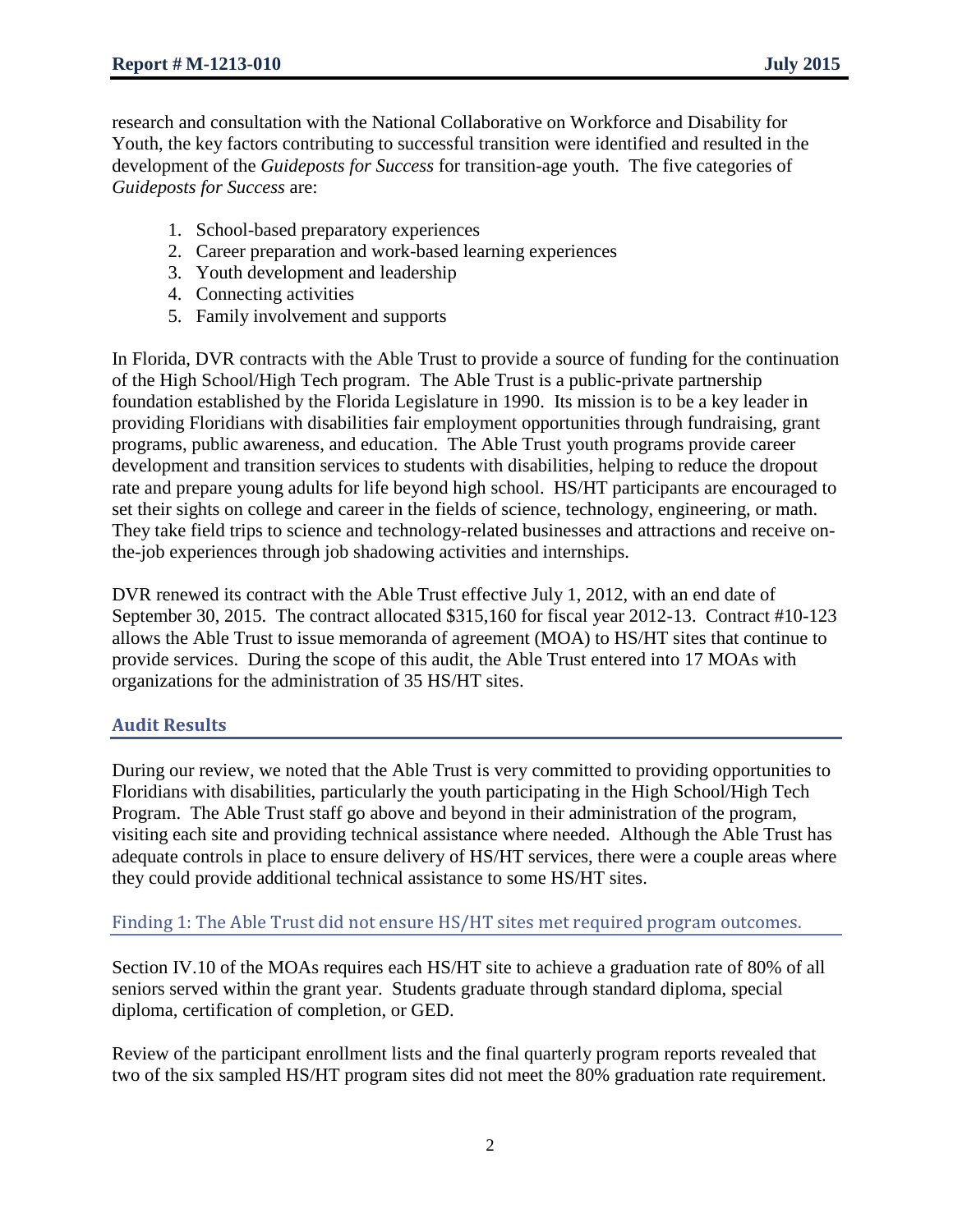research and consultation with the National Collaborative on Workforce and Disability for Youth, the key factors contributing to successful transition were identified and resulted in the development of the *Guideposts for Success* for transition-age youth. The five categories of *Guideposts for Success* are:

- 1. School-based preparatory experiences
- 2. Career preparation and work-based learning experiences
- 3. Youth development and leadership
- 4. Connecting activities
- 5. Family involvement and supports

In Florida, DVR contracts with the Able Trust to provide a source of funding for the continuation of the High School/High Tech program. The Able Trust is a public-private partnership foundation established by the Florida Legislature in 1990. Its mission is to be a key leader in providing Floridians with disabilities fair employment opportunities through fundraising, grant programs, public awareness, and education. The Able Trust youth programs provide career development and transition services to students with disabilities, helping to reduce the dropout rate and prepare young adults for life beyond high school. HS/HT participants are encouraged to set their sights on college and career in the fields of science, technology, engineering, or math. They take field trips to science and technology-related businesses and attractions and receive onthe-job experiences through job shadowing activities and internships.

DVR renewed its contract with the Able Trust effective July 1, 2012, with an end date of September 30, 2015. The contract allocated \$315,160 for fiscal year 2012-13. Contract #10-123 allows the Able Trust to issue memoranda of agreement (MOA) to HS/HT sites that continue to provide services. During the scope of this audit, the Able Trust entered into 17 MOAs with organizations for the administration of 35 HS/HT sites.

# **Audit Results**

During our review, we noted that the Able Trust is very committed to providing opportunities to Floridians with disabilities, particularly the youth participating in the High School/High Tech Program. The Able Trust staff go above and beyond in their administration of the program, visiting each site and providing technical assistance where needed. Although the Able Trust has adequate controls in place to ensure delivery of HS/HT services, there were a couple areas where they could provide additional technical assistance to some HS/HT sites.

## Finding 1: The Able Trust did not ensure HS/HT sites met required program outcomes.

Section IV.10 of the MOAs requires each HS/HT site to achieve a graduation rate of 80% of all seniors served within the grant year. Students graduate through standard diploma, special diploma, certification of completion, or GED.

Review of the participant enrollment lists and the final quarterly program reports revealed that two of the six sampled HS/HT program sites did not meet the 80% graduation rate requirement.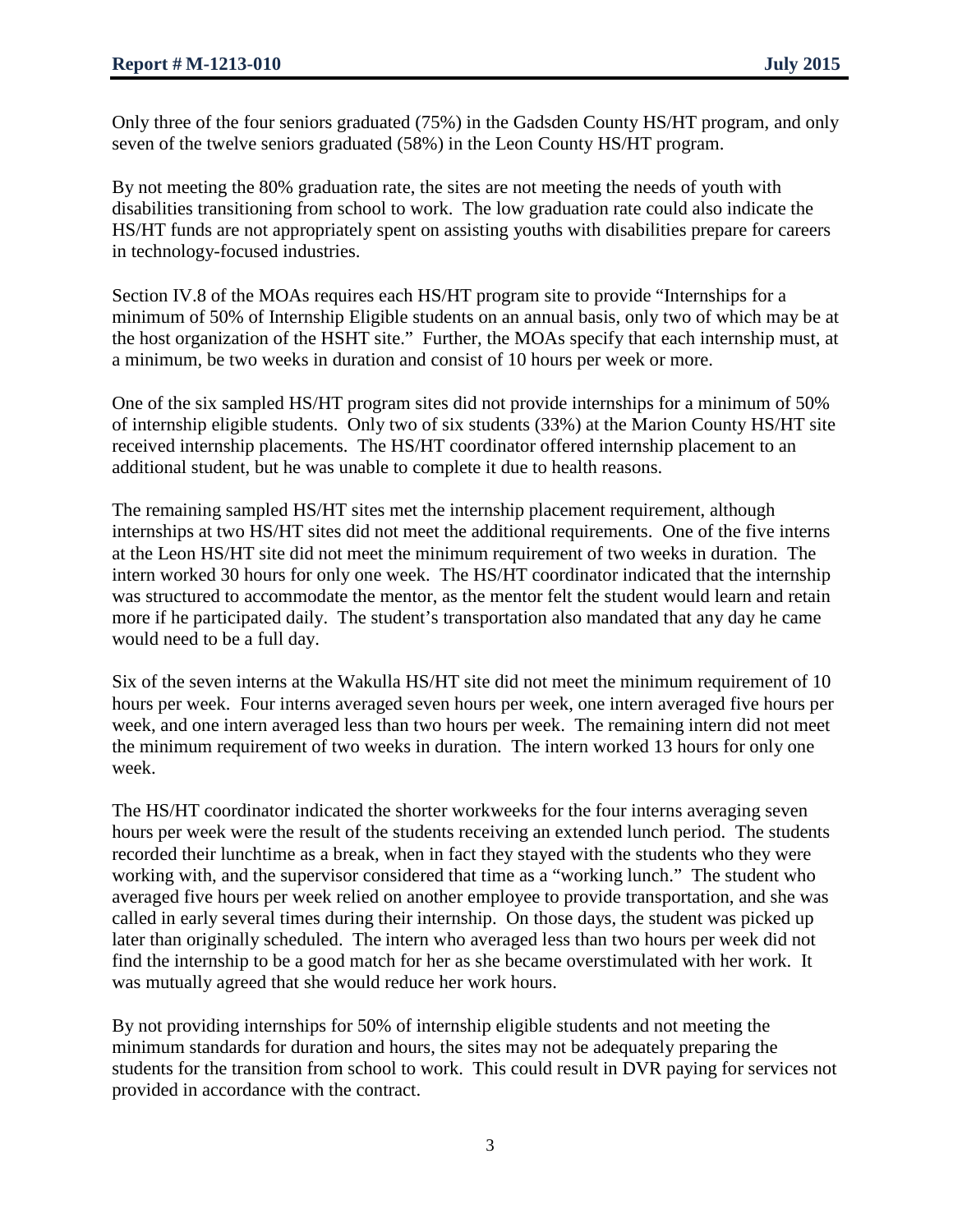Only three of the four seniors graduated (75%) in the Gadsden County HS/HT program, and only seven of the twelve seniors graduated (58%) in the Leon County HS/HT program.

By not meeting the 80% graduation rate, the sites are not meeting the needs of youth with disabilities transitioning from school to work. The low graduation rate could also indicate the HS/HT funds are not appropriately spent on assisting youths with disabilities prepare for careers in technology-focused industries.

Section IV.8 of the MOAs requires each HS/HT program site to provide "Internships for a minimum of 50% of Internship Eligible students on an annual basis, only two of which may be at the host organization of the HSHT site." Further, the MOAs specify that each internship must, at a minimum, be two weeks in duration and consist of 10 hours per week or more.

One of the six sampled HS/HT program sites did not provide internships for a minimum of 50% of internship eligible students. Only two of six students (33%) at the Marion County HS/HT site received internship placements. The HS/HT coordinator offered internship placement to an additional student, but he was unable to complete it due to health reasons.

The remaining sampled HS/HT sites met the internship placement requirement, although internships at two HS/HT sites did not meet the additional requirements. One of the five interns at the Leon HS/HT site did not meet the minimum requirement of two weeks in duration. The intern worked 30 hours for only one week. The HS/HT coordinator indicated that the internship was structured to accommodate the mentor, as the mentor felt the student would learn and retain more if he participated daily. The student's transportation also mandated that any day he came would need to be a full day.

Six of the seven interns at the Wakulla HS/HT site did not meet the minimum requirement of 10 hours per week. Four interns averaged seven hours per week, one intern averaged five hours per week, and one intern averaged less than two hours per week. The remaining intern did not meet the minimum requirement of two weeks in duration. The intern worked 13 hours for only one week.

The HS/HT coordinator indicated the shorter workweeks for the four interns averaging seven hours per week were the result of the students receiving an extended lunch period. The students recorded their lunchtime as a break, when in fact they stayed with the students who they were working with, and the supervisor considered that time as a "working lunch." The student who averaged five hours per week relied on another employee to provide transportation, and she was called in early several times during their internship. On those days, the student was picked up later than originally scheduled. The intern who averaged less than two hours per week did not find the internship to be a good match for her as she became overstimulated with her work. It was mutually agreed that she would reduce her work hours.

By not providing internships for 50% of internship eligible students and not meeting the minimum standards for duration and hours, the sites may not be adequately preparing the students for the transition from school to work. This could result in DVR paying for services not provided in accordance with the contract.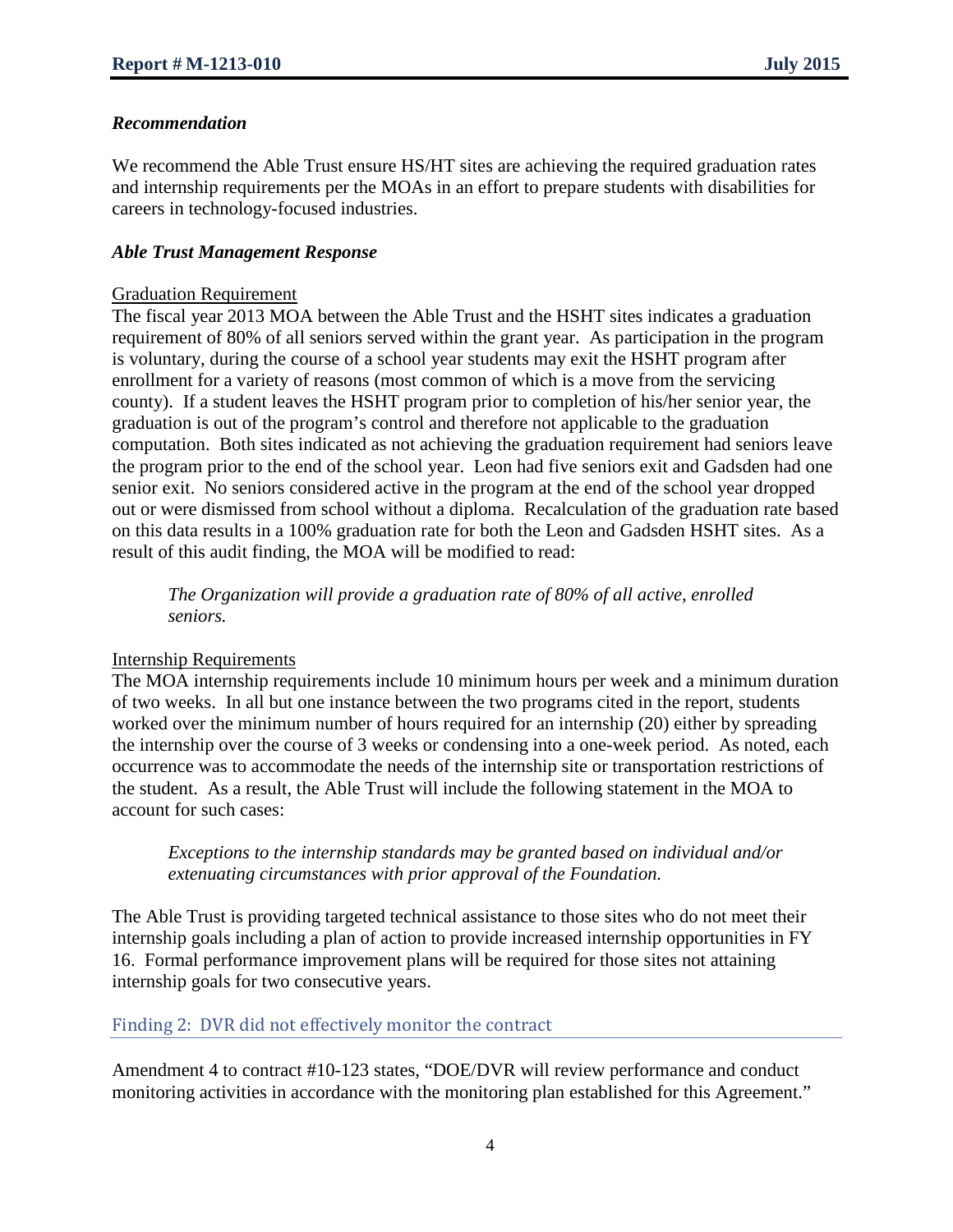#### *Recommendation*

We recommend the Able Trust ensure HS/HT sites are achieving the required graduation rates and internship requirements per the MOAs in an effort to prepare students with disabilities for careers in technology-focused industries.

#### *Able Trust Management Response*

#### Graduation Requirement

The fiscal year 2013 MOA between the Able Trust and the HSHT sites indicates a graduation requirement of 80% of all seniors served within the grant year. As participation in the program is voluntary, during the course of a school year students may exit the HSHT program after enrollment for a variety of reasons (most common of which is a move from the servicing county). If a student leaves the HSHT program prior to completion of his/her senior year, the graduation is out of the program's control and therefore not applicable to the graduation computation. Both sites indicated as not achieving the graduation requirement had seniors leave the program prior to the end of the school year. Leon had five seniors exit and Gadsden had one senior exit. No seniors considered active in the program at the end of the school year dropped out or were dismissed from school without a diploma. Recalculation of the graduation rate based on this data results in a 100% graduation rate for both the Leon and Gadsden HSHT sites. As a result of this audit finding, the MOA will be modified to read:

*The Organization will provide a graduation rate of 80% of all active, enrolled seniors.*

#### Internship Requirements

The MOA internship requirements include 10 minimum hours per week and a minimum duration of two weeks. In all but one instance between the two programs cited in the report, students worked over the minimum number of hours required for an internship (20) either by spreading the internship over the course of 3 weeks or condensing into a one-week period. As noted, each occurrence was to accommodate the needs of the internship site or transportation restrictions of the student. As a result, the Able Trust will include the following statement in the MOA to account for such cases:

*Exceptions to the internship standards may be granted based on individual and/or extenuating circumstances with prior approval of the Foundation.* 

The Able Trust is providing targeted technical assistance to those sites who do not meet their internship goals including a plan of action to provide increased internship opportunities in FY 16. Formal performance improvement plans will be required for those sites not attaining internship goals for two consecutive years.

#### Finding 2: DVR did not effectively monitor the contract

Amendment 4 to contract #10-123 states, "DOE/DVR will review performance and conduct monitoring activities in accordance with the monitoring plan established for this Agreement."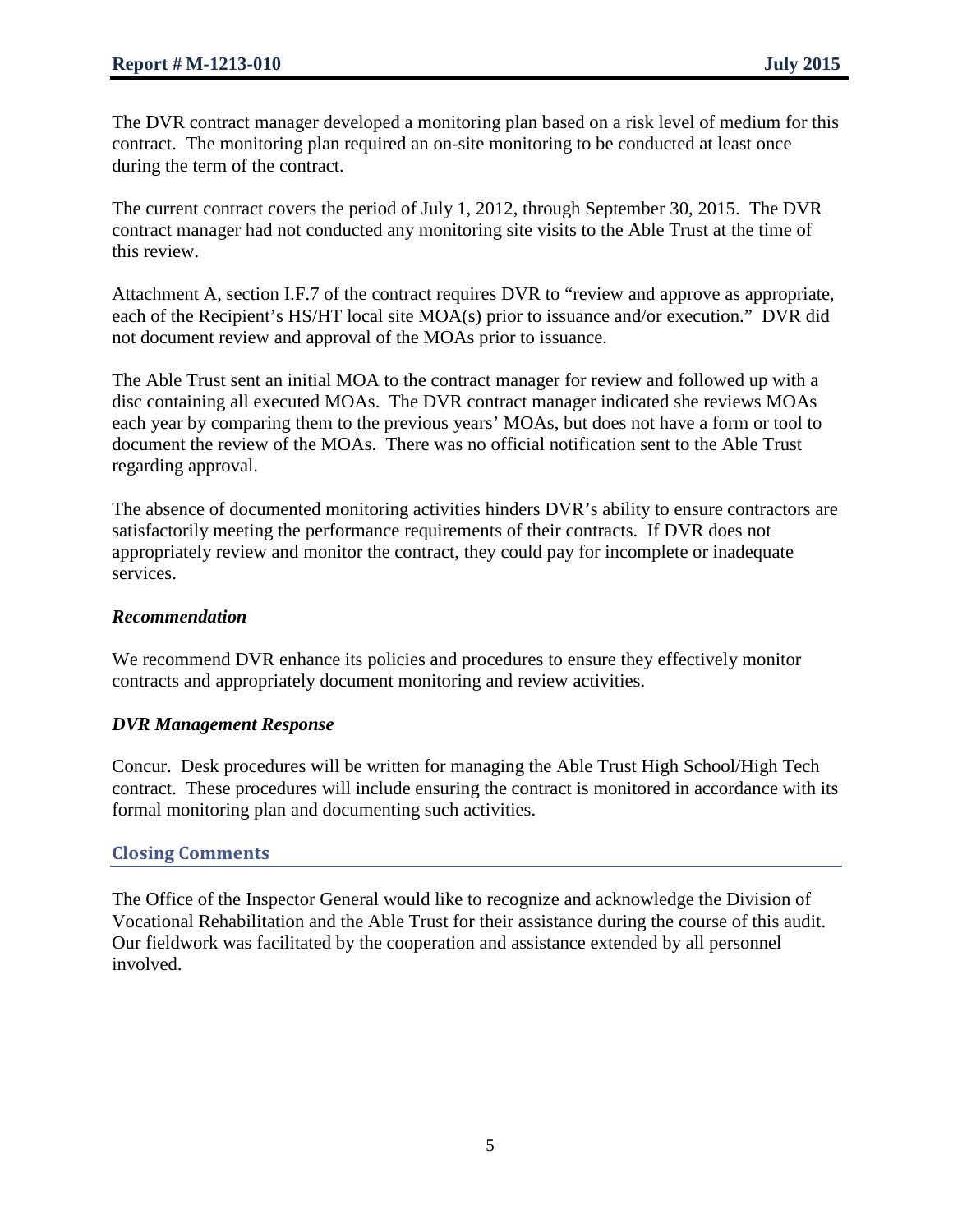The DVR contract manager developed a monitoring plan based on a risk level of medium for this contract. The monitoring plan required an on-site monitoring to be conducted at least once during the term of the contract.

The current contract covers the period of July 1, 2012, through September 30, 2015. The DVR contract manager had not conducted any monitoring site visits to the Able Trust at the time of this review.

Attachment A, section I.F.7 of the contract requires DVR to "review and approve as appropriate, each of the Recipient's HS/HT local site MOA(s) prior to issuance and/or execution." DVR did not document review and approval of the MOAs prior to issuance.

The Able Trust sent an initial MOA to the contract manager for review and followed up with a disc containing all executed MOAs. The DVR contract manager indicated she reviews MOAs each year by comparing them to the previous years' MOAs, but does not have a form or tool to document the review of the MOAs. There was no official notification sent to the Able Trust regarding approval.

The absence of documented monitoring activities hinders DVR's ability to ensure contractors are satisfactorily meeting the performance requirements of their contracts. If DVR does not appropriately review and monitor the contract, they could pay for incomplete or inadequate services.

#### *Recommendation*

We recommend DVR enhance its policies and procedures to ensure they effectively monitor contracts and appropriately document monitoring and review activities.

#### *DVR Management Response*

Concur. Desk procedures will be written for managing the Able Trust High School/High Tech contract. These procedures will include ensuring the contract is monitored in accordance with its formal monitoring plan and documenting such activities.

## **Closing Comments**

The Office of the Inspector General would like to recognize and acknowledge the Division of Vocational Rehabilitation and the Able Trust for their assistance during the course of this audit. Our fieldwork was facilitated by the cooperation and assistance extended by all personnel involved.